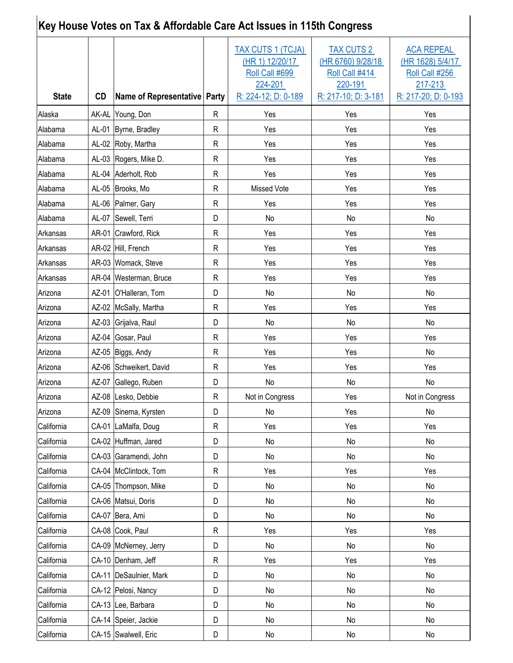| Key House Votes on Tax & Affordable Care Act Issues in 115th Congress |       |                                |   |                                                                                                 |                                                                                            |                                                                                           |  |  |
|-----------------------------------------------------------------------|-------|--------------------------------|---|-------------------------------------------------------------------------------------------------|--------------------------------------------------------------------------------------------|-------------------------------------------------------------------------------------------|--|--|
| <b>State</b>                                                          | CD    | Name of Representative   Party |   | <b>TAX CUTS 1 (TCJA)</b><br>(HR 1) 12/20/17<br>Roll Call #699<br>224-201<br>R: 224-12; D: 0-189 | <b>TAX CUTS 2</b><br>(HR 6760) 9/28/18<br>Roll Call #414<br>220-191<br>R: 217-10; D: 3-181 | <b>ACA REPEAL</b><br>(HR 1628) 5/4/17<br>Roll Call #256<br>217-213<br>R: 217-20; D: 0-193 |  |  |
| Alaska                                                                |       | AK-AL Young, Don               | R | Yes                                                                                             | Yes                                                                                        | Yes                                                                                       |  |  |
| Alabama                                                               |       | AL-01 Byrne, Bradley           | R | Yes                                                                                             | Yes                                                                                        | Yes                                                                                       |  |  |
| Alabama                                                               |       | AL-02 Roby, Martha             | R | Yes                                                                                             | Yes                                                                                        | Yes                                                                                       |  |  |
| Alabama                                                               |       | AL-03 Rogers, Mike D.          | R | Yes                                                                                             | Yes                                                                                        | Yes                                                                                       |  |  |
| Alabama                                                               |       | AL-04 Aderholt, Rob            | R | Yes                                                                                             | Yes                                                                                        | Yes                                                                                       |  |  |
| Alabama                                                               |       | AL-05 Brooks, Mo               | R | Missed Vote                                                                                     | Yes                                                                                        | Yes                                                                                       |  |  |
| Alabama                                                               |       | AL-06   Palmer, Gary           | R | Yes                                                                                             | Yes                                                                                        | Yes                                                                                       |  |  |
| Alabama                                                               |       | AL-07   Sewell, Terri          | D | No                                                                                              | No                                                                                         | No                                                                                        |  |  |
| Arkansas                                                              |       | AR-01 Crawford, Rick           | R | Yes                                                                                             | Yes                                                                                        | Yes                                                                                       |  |  |
| Arkansas                                                              |       | AR-02 Hill, French             | R | Yes                                                                                             | Yes                                                                                        | Yes                                                                                       |  |  |
| Arkansas                                                              |       | AR-03 Womack, Steve            | R | Yes                                                                                             | Yes                                                                                        | Yes                                                                                       |  |  |
| Arkansas                                                              |       | AR-04   Westerman, Bruce       | R | Yes                                                                                             | Yes                                                                                        | Yes                                                                                       |  |  |
| Arizona                                                               | AZ-01 | O'Halleran, Tom                | D | No                                                                                              | No                                                                                         | No                                                                                        |  |  |
| Arizona                                                               |       | AZ-02   McSally, Martha        | R | Yes                                                                                             | Yes                                                                                        | Yes                                                                                       |  |  |
| Arizona                                                               |       | AZ-03 Grijalva, Raul           | D | No                                                                                              | No                                                                                         | No                                                                                        |  |  |
| Arizona                                                               | AZ-04 | Gosar, Paul                    | R | Yes                                                                                             | Yes                                                                                        | Yes                                                                                       |  |  |
| Arizona                                                               |       | AZ-05 Biggs, Andy              | R | Yes                                                                                             | Yes                                                                                        | No                                                                                        |  |  |
| Arizona                                                               |       | AZ-06 Schweikert, David        | R | Yes                                                                                             | Yes                                                                                        | Yes                                                                                       |  |  |
| Arizona                                                               |       | AZ-07 Gallego, Ruben           | D | No                                                                                              | No                                                                                         | No                                                                                        |  |  |
| Arizona                                                               |       | AZ-08 Lesko, Debbie            | R | Not in Congress                                                                                 | Yes                                                                                        | Not in Congress                                                                           |  |  |
| Arizona                                                               |       | AZ-09 Sinema, Kyrsten          | D | No                                                                                              | Yes                                                                                        | No                                                                                        |  |  |
| California                                                            |       | CA-01 LaMalfa, Doug            | R | Yes                                                                                             | Yes                                                                                        | Yes                                                                                       |  |  |
| California                                                            |       | CA-02 Huffman, Jared           | D | No                                                                                              | No                                                                                         | No                                                                                        |  |  |
| California                                                            |       | CA-03 Garamendi, John          | D | No                                                                                              | No                                                                                         | No                                                                                        |  |  |
| California                                                            |       | CA-04 McClintock, Tom          | R | Yes                                                                                             | Yes                                                                                        | Yes                                                                                       |  |  |
| California                                                            |       | CA-05 Thompson, Mike           | D | No                                                                                              | No                                                                                         | No                                                                                        |  |  |
| California                                                            |       | CA-06 Matsui, Doris            | D | No                                                                                              | No                                                                                         | No                                                                                        |  |  |
| California                                                            |       | CA-07 Bera, Ami                | D | No                                                                                              | No                                                                                         | No                                                                                        |  |  |
| California                                                            |       | CA-08 Cook, Paul               | R | Yes                                                                                             | Yes                                                                                        | Yes                                                                                       |  |  |
| California                                                            |       | CA-09 McNerney, Jerry          | D | No                                                                                              | No                                                                                         | No                                                                                        |  |  |
| California                                                            |       | CA-10 Denham, Jeff             | R | Yes                                                                                             | Yes                                                                                        | Yes                                                                                       |  |  |
| California                                                            |       | CA-11 DeSaulnier, Mark         | D | No                                                                                              | No                                                                                         | No                                                                                        |  |  |
| California                                                            |       | CA-12 Pelosi, Nancy            | D | No                                                                                              | No                                                                                         | No                                                                                        |  |  |
| California                                                            |       | CA-13 Lee, Barbara             | D | No                                                                                              | No                                                                                         | No                                                                                        |  |  |
| California                                                            |       | CA-14 Speier, Jackie           | D | No                                                                                              | No                                                                                         | No                                                                                        |  |  |
| California                                                            |       | CA-15 Swalwell, Eric           | D | No                                                                                              | No                                                                                         | No                                                                                        |  |  |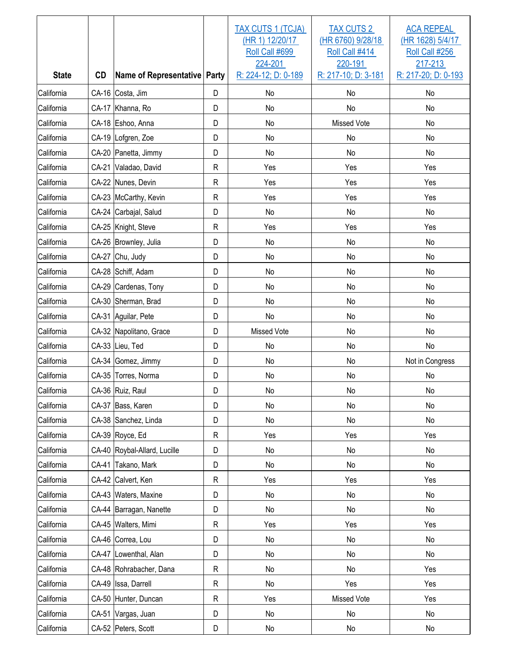| <b>State</b> | <b>CD</b> | Name of Representative Party |              | <b>TAX CUTS 1 (TCJA)</b><br>(HR 1) 12/20/17<br>Roll Call #699<br>224-201<br>R: 224-12; D: 0-189 | <b>TAX CUTS 2</b><br>(HR 6760) 9/28/18<br>Roll Call #414<br>220-191<br>R: 217-10; D: 3-181 | <b>ACA REPEAL</b><br>(HR 1628) 5/4/17<br>Roll Call #256<br>217-213<br>R: 217-20; D: 0-193 |
|--------------|-----------|------------------------------|--------------|-------------------------------------------------------------------------------------------------|--------------------------------------------------------------------------------------------|-------------------------------------------------------------------------------------------|
| California   |           | CA-16 Costa, Jim             | D            | No                                                                                              | No                                                                                         | No                                                                                        |
| California   |           | CA-17 Khanna, Ro             | D            | No                                                                                              | No                                                                                         | No                                                                                        |
| California   |           | CA-18 Eshoo, Anna            | D            | No                                                                                              | <b>Missed Vote</b>                                                                         | No                                                                                        |
| California   |           | CA-19 Lofgren, Zoe           | D            | No                                                                                              | No                                                                                         | No                                                                                        |
| California   |           | CA-20 Panetta, Jimmy         | D            | No                                                                                              | No                                                                                         | No                                                                                        |
| California   | CA-21     | Valadao, David               | $\mathsf{R}$ | Yes                                                                                             | Yes                                                                                        | Yes                                                                                       |
| California   |           | CA-22 Nunes, Devin           | $\mathsf{R}$ | Yes                                                                                             | Yes                                                                                        | Yes                                                                                       |
| California   |           | CA-23 McCarthy, Kevin        | $\mathsf{R}$ | Yes                                                                                             | Yes                                                                                        | Yes                                                                                       |
| California   |           | CA-24 Carbajal, Salud        | D            | No                                                                                              | No                                                                                         | No                                                                                        |
| California   |           | CA-25 Knight, Steve          | $\mathsf{R}$ | Yes                                                                                             | Yes                                                                                        | Yes                                                                                       |
| California   |           | CA-26 Brownley, Julia        | D            | No                                                                                              | No                                                                                         | No                                                                                        |
| California   | CA-27     | Chu, Judy                    | D            | No                                                                                              | No                                                                                         | No                                                                                        |
| California   |           | CA-28 Schiff, Adam           | D            | No                                                                                              | No                                                                                         | No                                                                                        |
| California   |           | CA-29 Cardenas, Tony         | D            | No                                                                                              | No                                                                                         | No                                                                                        |
| California   |           | CA-30 Sherman, Brad          | D            | No                                                                                              | No                                                                                         | No                                                                                        |
| California   |           | CA-31 Aguilar, Pete          | D            | No                                                                                              | No                                                                                         | No                                                                                        |
| California   |           | CA-32 Napolitano, Grace      | D            | <b>Missed Vote</b>                                                                              | No                                                                                         | No                                                                                        |
| California   |           | CA-33 Lieu, Ted              | D            | No                                                                                              | No                                                                                         | No                                                                                        |
| California   |           | CA-34 Gomez, Jimmy           | D            | No                                                                                              | No                                                                                         | Not in Congress                                                                           |
| California   |           | CA-35 Torres, Norma          | D            | No                                                                                              | No                                                                                         | No                                                                                        |
| California   |           | CA-36 Ruiz, Raul             | D            | No                                                                                              | $\mathsf{No}$                                                                              | No                                                                                        |
| California   |           | CA-37 Bass, Karen            | D            | No                                                                                              | No                                                                                         | No                                                                                        |
| California   |           | CA-38 Sanchez, Linda         | D            | No                                                                                              | No                                                                                         | $\mathsf{No}$                                                                             |
| California   |           | CA-39 Royce, Ed              | $\mathsf{R}$ | Yes                                                                                             | Yes                                                                                        | Yes                                                                                       |
| California   |           | CA-40 Roybal-Allard, Lucille | D            | No                                                                                              | No                                                                                         | No                                                                                        |
| California   |           | CA-41 Takano, Mark           | D            | No                                                                                              | No                                                                                         | No                                                                                        |
| California   |           | CA-42 Calvert, Ken           | $\mathsf R$  | Yes                                                                                             | Yes                                                                                        | Yes                                                                                       |
| California   |           | CA-43 Waters, Maxine         | D            | No                                                                                              | No                                                                                         | No                                                                                        |
| California   |           | CA-44 Barragan, Nanette      | D            | No                                                                                              | No                                                                                         | No                                                                                        |
| California   |           | CA-45 Walters, Mimi          | $\mathsf R$  | Yes                                                                                             | Yes                                                                                        | Yes                                                                                       |
| California   |           | CA-46 Correa, Lou            | D            | No                                                                                              | No                                                                                         | No                                                                                        |
| California   |           | CA-47 Lowenthal, Alan        | D            | No                                                                                              | No                                                                                         | No                                                                                        |
| California   |           | CA-48 Rohrabacher, Dana      | $\mathsf R$  | No                                                                                              | No                                                                                         | Yes                                                                                       |
| California   |           | CA-49   Issa, Darrell        | $\mathsf R$  | No                                                                                              | Yes                                                                                        | Yes                                                                                       |
| California   |           | CA-50 Hunter, Duncan         | $\mathsf R$  | Yes                                                                                             | Missed Vote                                                                                | Yes                                                                                       |
| California   |           | CA-51 Vargas, Juan           | D            | No                                                                                              | No                                                                                         | No                                                                                        |
| California   |           | CA-52 Peters, Scott          | D            | No                                                                                              | No                                                                                         | No                                                                                        |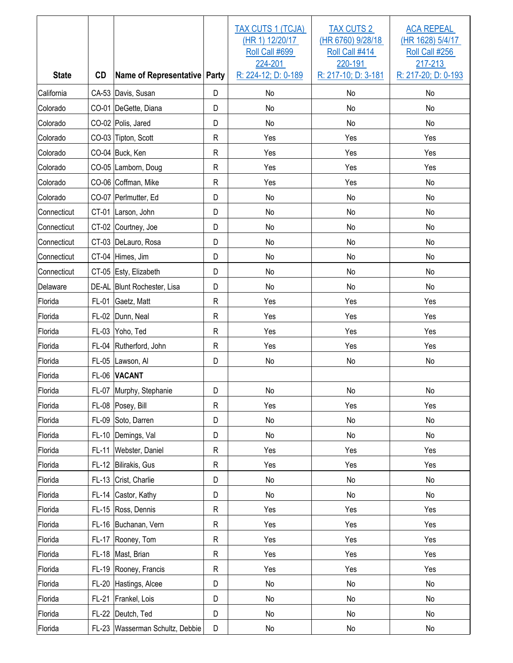| <b>State</b> | <b>CD</b>    | Name of Representative Party    |              | TAX CUTS 1 (TCJA)<br>(HR 1) 12/20/17<br>Roll Call #699<br>224-201<br>R: 224-12; D: 0-189 | <b>TAX CUTS 2</b><br>(HR 6760) 9/28/18<br>Roll Call #414<br>220-191<br>R: 217-10; D: 3-181 | <b>ACA REPEAL</b><br>(HR 1628) 5/4/17<br>Roll Call #256<br>217-213<br>R: 217-20; D: 0-193 |
|--------------|--------------|---------------------------------|--------------|------------------------------------------------------------------------------------------|--------------------------------------------------------------------------------------------|-------------------------------------------------------------------------------------------|
| California   |              | CA-53 Davis, Susan              | D            | No                                                                                       | No                                                                                         | No                                                                                        |
| Colorado     |              | CO-01 DeGette, Diana            | D            | No                                                                                       | No                                                                                         | No                                                                                        |
| Colorado     |              | CO-02 Polis, Jared              | D            | No                                                                                       | No                                                                                         | No                                                                                        |
| Colorado     |              | CO-03 Tipton, Scott             | ${\sf R}$    | Yes                                                                                      | Yes                                                                                        | Yes                                                                                       |
| Colorado     |              | CO-04 Buck, Ken                 | $\mathsf{R}$ | Yes                                                                                      | Yes                                                                                        | Yes                                                                                       |
| Colorado     |              | CO-05 Lamborn, Doug             | ${\sf R}$    | Yes                                                                                      | Yes                                                                                        | Yes                                                                                       |
| Colorado     |              | CO-06 Coffman, Mike             | $\mathsf{R}$ | Yes                                                                                      | Yes                                                                                        | No                                                                                        |
| Colorado     |              | CO-07 Perlmutter, Ed            | D            | No                                                                                       | No                                                                                         | No                                                                                        |
| Connecticut  |              | CT-01 Larson, John              | D            | No                                                                                       | No                                                                                         | No                                                                                        |
| Connecticut  | CT-02        | Courtney, Joe                   | D            | No                                                                                       | No                                                                                         | No                                                                                        |
| Connecticut  |              | CT-03 DeLauro, Rosa             | D            | No                                                                                       | No                                                                                         | No                                                                                        |
| Connecticut  |              | CT-04 Himes, Jim                | D            | <b>No</b>                                                                                | No                                                                                         | No                                                                                        |
| Connecticut  |              | CT-05 Esty, Elizabeth           | D            | No                                                                                       | No                                                                                         | No                                                                                        |
| Delaware     |              | DE-AL Blunt Rochester, Lisa     | D            | No                                                                                       | No                                                                                         | No                                                                                        |
| Florida      | $FL-01$      | Gaetz, Matt                     | $\mathsf{R}$ | Yes                                                                                      | Yes                                                                                        | Yes                                                                                       |
| Florida      | $FL-02$      | Dunn, Neal                      | $\mathsf{R}$ | Yes                                                                                      | Yes                                                                                        | Yes                                                                                       |
| Florida      | $FL-03$      | Yoho, Ted                       | $\mathsf{R}$ | Yes                                                                                      | Yes                                                                                        | Yes                                                                                       |
| Florida      |              | FL-04 Rutherford, John          | $\mathsf{R}$ | Yes                                                                                      | Yes                                                                                        | Yes                                                                                       |
| Florida      | $FL-05$      | Lawson, Al                      | D            | No                                                                                       | No                                                                                         | No                                                                                        |
| Florida      | FL-06        | <b>VACANT</b>                   |              |                                                                                          |                                                                                            |                                                                                           |
| Florida      |              | FL-07 Murphy, Stephanie         | D            | No                                                                                       | No                                                                                         | $\operatorname{\mathsf{No}}$                                                              |
| Florida      |              | FL-08 Posey, Bill               | $\mathsf{R}$ | Yes                                                                                      | Yes                                                                                        | Yes                                                                                       |
| Florida      |              | FL-09 Soto, Darren              | D            | No                                                                                       | No                                                                                         | $\mathsf{No}$                                                                             |
| Florida      |              | FL-10 Demings, Val              | D            | No                                                                                       | No                                                                                         | No                                                                                        |
| Florida      | $FL-11$      | Webster, Daniel                 | ${\sf R}$    | Yes                                                                                      | Yes                                                                                        | Yes                                                                                       |
| Florida      |              | FL-12 Bilirakis, Gus            | ${\sf R}$    | Yes                                                                                      | Yes                                                                                        | Yes                                                                                       |
| Florida      |              | FL-13 Crist, Charlie            | D            | No                                                                                       | No                                                                                         | $\mathsf{No}$                                                                             |
| Florida      |              | FL-14 Castor, Kathy             | D            | No                                                                                       | No                                                                                         | $\mathsf{No}$                                                                             |
| Florida      |              | FL-15 Ross, Dennis              | ${\sf R}$    | Yes                                                                                      | Yes                                                                                        | Yes                                                                                       |
| Florida      |              | FL-16 Buchanan, Vern            | ${\sf R}$    | Yes                                                                                      | Yes                                                                                        | Yes                                                                                       |
| Florida      | FL-17        | Rooney, Tom                     | ${\sf R}$    | Yes                                                                                      | Yes                                                                                        | Yes                                                                                       |
| Florida      |              | FL-18 Mast, Brian               | ${\sf R}$    | Yes                                                                                      | Yes                                                                                        | Yes                                                                                       |
| Florida      |              | FL-19 Rooney, Francis           | $\mathsf R$  | Yes                                                                                      | Yes                                                                                        | Yes                                                                                       |
| Florida      | $FL-20$      | Hastings, Alcee                 | D            | No                                                                                       | No                                                                                         | No                                                                                        |
| Florida      | <b>FL-21</b> | Frankel, Lois                   | D            | No                                                                                       | No                                                                                         | No                                                                                        |
| Florida      | <b>FL-22</b> | Deutch, Ted                     | D            | No                                                                                       | No                                                                                         | No                                                                                        |
| Florida      |              | FL-23 Wasserman Schultz, Debbie | D            | No                                                                                       | No                                                                                         | $\operatorname{\mathsf{No}}$                                                              |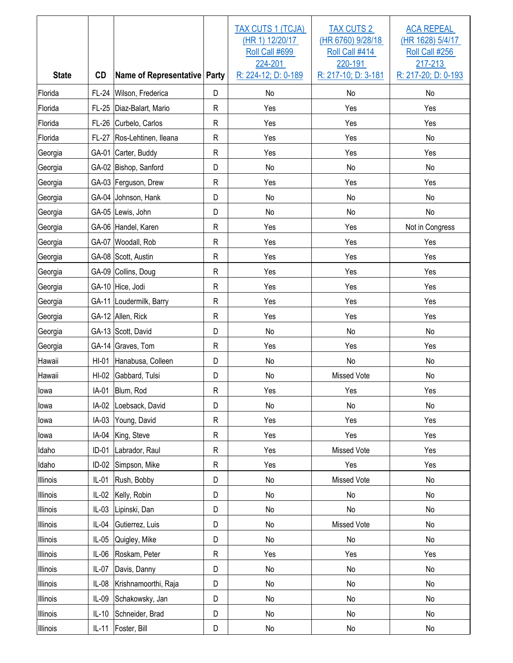| <b>State</b> | <b>CD</b>    | Name of Representative Party |              | TAX CUTS 1 (TCJA)<br>(HR 1) 12/20/17<br>Roll Call #699<br>224-201<br>R: 224-12; D: 0-189 | <b>TAX CUTS 2</b><br>(HR 6760) 9/28/18<br>Roll Call #414<br>220-191<br>R: 217-10; D: 3-181 | <b>ACA REPEAL</b><br>(HR 1628) 5/4/17<br>Roll Call #256<br>217-213<br>R: 217-20; D: 0-193 |
|--------------|--------------|------------------------------|--------------|------------------------------------------------------------------------------------------|--------------------------------------------------------------------------------------------|-------------------------------------------------------------------------------------------|
| Florida      | FL-24        | Wilson, Frederica            | D            | No                                                                                       | No                                                                                         | No                                                                                        |
| Florida      | $FL-25$      | Diaz-Balart, Mario           | ${\sf R}$    | Yes                                                                                      | Yes                                                                                        | Yes                                                                                       |
| Florida      | FL-26        | Curbelo, Carlos              | $\mathsf R$  | Yes                                                                                      | Yes                                                                                        | Yes                                                                                       |
| Florida      | <b>FL-27</b> | Ros-Lehtinen, Ileana         | $\mathsf{R}$ | Yes                                                                                      | Yes                                                                                        | No                                                                                        |
| Georgia      |              | GA-01 Carter, Buddy          | $\mathsf{R}$ | Yes                                                                                      | Yes                                                                                        | Yes                                                                                       |
| Georgia      |              | GA-02 Bishop, Sanford        | D            | No                                                                                       | No                                                                                         | No                                                                                        |
| Georgia      |              | GA-03 Ferguson, Drew         | $\mathsf{R}$ | Yes                                                                                      | Yes                                                                                        | Yes                                                                                       |
| Georgia      |              | GA-04 Johnson, Hank          | D            | No                                                                                       | No                                                                                         | No                                                                                        |
| Georgia      |              | GA-05 Lewis, John            | D            | No                                                                                       | No                                                                                         | No                                                                                        |
| Georgia      |              | GA-06 Handel, Karen          | $\mathsf{R}$ | Yes                                                                                      | Yes                                                                                        | Not in Congress                                                                           |
| Georgia      |              | GA-07 Woodall, Rob           | ${\sf R}$    | Yes                                                                                      | Yes                                                                                        | Yes                                                                                       |
| Georgia      |              | GA-08 Scott, Austin          | $\mathsf{R}$ | Yes                                                                                      | Yes                                                                                        | Yes                                                                                       |
| Georgia      |              | GA-09 Collins, Doug          | $\mathsf R$  | Yes                                                                                      | Yes                                                                                        | Yes                                                                                       |
| Georgia      |              | GA-10 Hice, Jodi             | $\mathsf{R}$ | Yes                                                                                      | Yes                                                                                        | Yes                                                                                       |
| Georgia      |              | GA-11 Loudermilk, Barry      | $\mathsf{R}$ | Yes                                                                                      | Yes                                                                                        | Yes                                                                                       |
| Georgia      |              | GA-12 Allen, Rick            | $\mathsf{R}$ | Yes                                                                                      | Yes                                                                                        | Yes                                                                                       |
| Georgia      |              | GA-13 Scott, David           | D            | No                                                                                       | No                                                                                         | No                                                                                        |
| Georgia      |              | GA-14 Graves, Tom            | $\mathsf{R}$ | Yes                                                                                      | Yes                                                                                        | Yes                                                                                       |
| Hawaii       | HI-01        | Hanabusa, Colleen            | D            | No                                                                                       | No                                                                                         | No                                                                                        |
| Hawaii       | $HI-02$      | Gabbard, Tulsi               | D            | No                                                                                       | <b>Missed Vote</b>                                                                         | No                                                                                        |
| lowa         |              | IA-01 Blum, Rod              | $\mathsf{R}$ | Yes                                                                                      | Yes                                                                                        | Yes                                                                                       |
| lowa         | IA-02        | Loebsack, David              | D            | No                                                                                       | No                                                                                         | No                                                                                        |
| lowa         | IA-03        | Young, David                 | ${\sf R}$    | Yes                                                                                      | Yes                                                                                        | Yes                                                                                       |
| lowa         | IA-04        | King, Steve                  | ${\sf R}$    | Yes                                                                                      | Yes                                                                                        | Yes                                                                                       |
| Idaho        | $ID-01$      | Labrador, Raul               | ${\sf R}$    | Yes                                                                                      | Missed Vote                                                                                | Yes                                                                                       |
| Idaho        | $ID-02$      | Simpson, Mike                | ${\sf R}$    | Yes                                                                                      | Yes                                                                                        | Yes                                                                                       |
| Illinois     | $IL-01$      | Rush, Bobby                  | D            | No                                                                                       | Missed Vote                                                                                | $\mathsf{No}$                                                                             |
| Illinois     | $IL-02$      | Kelly, Robin                 | D            | No                                                                                       | No                                                                                         | $\mathsf{No}$                                                                             |
| Illinois     | $IL-03$      | Lipinski, Dan                | D            | No                                                                                       | No                                                                                         | No                                                                                        |
| Illinois     | $IL-04$      | Gutierrez, Luis              | D            | No                                                                                       | Missed Vote                                                                                | No                                                                                        |
| Illinois     | $IL-05$      | Quigley, Mike                | D            | No                                                                                       | No                                                                                         | No                                                                                        |
| Illinois     | $IL-06$      | Roskam, Peter                | $\mathsf R$  | Yes                                                                                      | Yes                                                                                        | Yes                                                                                       |
| Illinois     | $IL-07$      | Davis, Danny                 | D            | No                                                                                       | No                                                                                         | No                                                                                        |
| Illinois     | $IL-08$      | Krishnamoorthi, Raja         | D            | No                                                                                       | No                                                                                         | No                                                                                        |
| Illinois     | $IL-09$      | Schakowsky, Jan              | D            | No                                                                                       | No                                                                                         | No                                                                                        |
| Illinois     | $IL-10$      | Schneider, Brad              | D            | No                                                                                       | No                                                                                         | No                                                                                        |
| Illinois     | $IL-11$      | Foster, Bill                 | D            | No                                                                                       | No                                                                                         | $\operatorname{\mathsf{No}}$                                                              |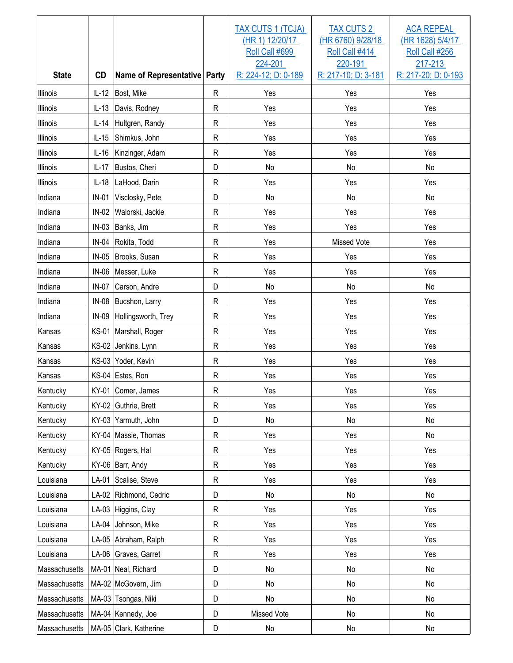| <b>State</b>  | CD      | Name of Representative Party |              | <b>TAX CUTS 1 (TCJA)</b><br>(HR 1) 12/20/17<br>Roll Call #699<br>224-201<br>R: 224-12; D: 0-189 | <b>TAX CUTS 2</b><br>(HR 6760) 9/28/18<br>Roll Call #414<br>220-191<br>R: 217-10; D: 3-181 | <b>ACA REPEAL</b><br>(HR 1628) 5/4/17<br>Roll Call #256<br>217-213<br>R: 217-20; D: 0-193 |
|---------------|---------|------------------------------|--------------|-------------------------------------------------------------------------------------------------|--------------------------------------------------------------------------------------------|-------------------------------------------------------------------------------------------|
| Illinois      | $IL-12$ | Bost, Mike                   | $\mathsf{R}$ | Yes                                                                                             | Yes                                                                                        | Yes                                                                                       |
| Illinois      | $IL-13$ | Davis, Rodney                | $\mathsf{R}$ | Yes                                                                                             | Yes                                                                                        | Yes                                                                                       |
| Illinois      | $IL-14$ | Hultgren, Randy              | $\mathsf{R}$ | Yes                                                                                             | Yes                                                                                        | Yes                                                                                       |
| Illinois      | $IL-15$ | Shimkus, John                | $\mathsf{R}$ | Yes                                                                                             | Yes                                                                                        | Yes                                                                                       |
| Illinois      | $IL-16$ | Kinzinger, Adam              | $\mathsf{R}$ | Yes                                                                                             | Yes                                                                                        | Yes                                                                                       |
| Illinois      | $IL-17$ | Bustos, Cheri                | D            | No                                                                                              | No                                                                                         | No                                                                                        |
| Illinois      | $IL-18$ | LaHood, Darin                | $\mathsf{R}$ | Yes                                                                                             | Yes                                                                                        | Yes                                                                                       |
| Indiana       | $IN-01$ | Visclosky, Pete              | D            | No                                                                                              | No                                                                                         | No                                                                                        |
| Indiana       | $IN-02$ | Walorski, Jackie             | $\mathsf{R}$ | Yes                                                                                             | Yes                                                                                        | Yes                                                                                       |
| Indiana       | $IN-03$ | Banks, Jim                   | $\mathsf{R}$ | Yes                                                                                             | Yes                                                                                        | Yes                                                                                       |
| Indiana       | IN-04   | Rokita, Todd                 | $\mathsf{R}$ | Yes                                                                                             | Missed Vote                                                                                | Yes                                                                                       |
| Indiana       | $IN-05$ | Brooks, Susan                | $\mathsf{R}$ | Yes                                                                                             | Yes                                                                                        | Yes                                                                                       |
| Indiana       | $IN-06$ | Messer, Luke                 | $\mathsf{R}$ | Yes                                                                                             | Yes                                                                                        | Yes                                                                                       |
| Indiana       | $IN-07$ | Carson, Andre                | D            | No                                                                                              | No                                                                                         | No                                                                                        |
| Indiana       | $IN-08$ | Bucshon, Larry               | $\mathsf{R}$ | Yes                                                                                             | Yes                                                                                        | Yes                                                                                       |
| Indiana       | IN-09   | Hollingsworth, Trey          | $\mathsf{R}$ | Yes                                                                                             | Yes                                                                                        | Yes                                                                                       |
| Kansas        |         | KS-01 Marshall, Roger        | $\mathsf{R}$ | Yes                                                                                             | Yes                                                                                        | Yes                                                                                       |
| Kansas        |         | KS-02 Jenkins, Lynn          | $\mathsf{R}$ | Yes                                                                                             | Yes                                                                                        | Yes                                                                                       |
| Kansas        |         | KS-03 Yoder, Kevin           | $\mathsf{R}$ | Yes                                                                                             | Yes                                                                                        | Yes                                                                                       |
| Kansas        |         | KS-04 Estes, Ron             | $\mathsf{R}$ | Yes                                                                                             | Yes                                                                                        | Yes                                                                                       |
| Kentucky      |         | KY-01 Comer, James           | $\mathsf R$  | Yes                                                                                             | Yes                                                                                        | Yes                                                                                       |
| Kentucky      |         | KY-02 Guthrie, Brett         | $\mathsf{R}$ | Yes                                                                                             | Yes                                                                                        | Yes                                                                                       |
| Kentucky      |         | KY-03 Yarmuth, John          | D            | No                                                                                              | No                                                                                         | No                                                                                        |
| Kentucky      |         | KY-04 Massie, Thomas         | $\mathsf{R}$ | Yes                                                                                             | Yes                                                                                        | No                                                                                        |
| Kentucky      |         | KY-05 Rogers, Hal            | R            | Yes                                                                                             | Yes                                                                                        | Yes                                                                                       |
| Kentucky      |         | KY-06 Barr, Andy             | R            | Yes                                                                                             | Yes                                                                                        | Yes                                                                                       |
| Louisiana     |         | LA-01 Scalise, Steve         | R            | Yes                                                                                             | Yes                                                                                        | Yes                                                                                       |
| Louisiana     |         | LA-02 Richmond, Cedric       | D            | No                                                                                              | No                                                                                         | No                                                                                        |
| Louisiana     |         | LA-03 Higgins, Clay          | $\mathsf{R}$ | Yes                                                                                             | Yes                                                                                        | Yes                                                                                       |
| Louisiana     |         | LA-04 Johnson, Mike          | $\mathsf{R}$ | Yes                                                                                             | Yes                                                                                        | Yes                                                                                       |
| Louisiana     |         | LA-05 Abraham, Ralph         | $\mathsf{R}$ | Yes                                                                                             | Yes                                                                                        | Yes                                                                                       |
| Louisiana     |         | LA-06 Graves, Garret         | $\mathsf R$  | Yes                                                                                             | Yes                                                                                        | Yes                                                                                       |
| Massachusetts |         | MA-01 Neal, Richard          | D            | No                                                                                              | No                                                                                         | No                                                                                        |
| Massachusetts |         | MA-02 McGovern, Jim          | D            | No                                                                                              | No                                                                                         | No                                                                                        |
| Massachusetts |         | MA-03 Tsongas, Niki          | D            | No                                                                                              | No                                                                                         | No                                                                                        |
| Massachusetts |         | MA-04 Kennedy, Joe           | D            | Missed Vote                                                                                     | No                                                                                         | No                                                                                        |
| Massachusetts |         | MA-05 Clark, Katherine       | D            | No                                                                                              | No                                                                                         | No                                                                                        |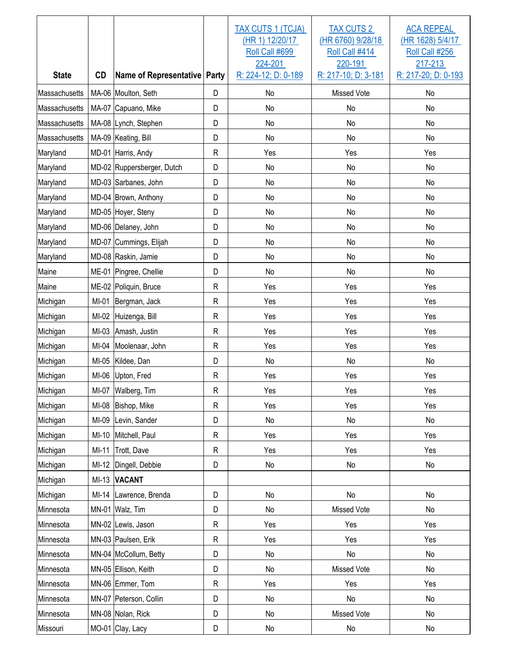| <b>State</b>  | <b>CD</b> | Name of Representative Party |              | <b>TAX CUTS 1 (TCJA)</b><br>(HR 1) 12/20/17<br>Roll Call #699<br>224-201<br>R: 224-12; D: 0-189 | <b>TAX CUTS 2</b><br>(HR 6760) 9/28/18<br>Roll Call #414<br>220-191<br>R: 217-10; D: 3-181 | <b>ACA REPEAL</b><br>(HR 1628) 5/4/17<br>Roll Call #256<br>217-213<br>R: 217-20; D: 0-193 |
|---------------|-----------|------------------------------|--------------|-------------------------------------------------------------------------------------------------|--------------------------------------------------------------------------------------------|-------------------------------------------------------------------------------------------|
| Massachusetts |           | MA-06 Moulton, Seth          | D            | No                                                                                              | Missed Vote                                                                                | No                                                                                        |
| Massachusetts |           | MA-07 Capuano, Mike          | D            | No                                                                                              | No                                                                                         | No                                                                                        |
| Massachusetts |           | MA-08 Lynch, Stephen         | D            | No                                                                                              | No                                                                                         | No                                                                                        |
| Massachusetts |           | MA-09 Keating, Bill          | D            | No                                                                                              | No                                                                                         | No                                                                                        |
| Maryland      |           | MD-01 Harris, Andy           | $\mathsf{R}$ | Yes                                                                                             | Yes                                                                                        | Yes                                                                                       |
| Maryland      |           | MD-02 Ruppersberger, Dutch   | D            | No                                                                                              | No                                                                                         | No                                                                                        |
| Maryland      |           | MD-03 Sarbanes, John         | D            | No                                                                                              | No                                                                                         | No                                                                                        |
| Maryland      |           | MD-04 Brown, Anthony         | D            | No                                                                                              | No                                                                                         | No                                                                                        |
| Maryland      |           | MD-05 Hoyer, Steny           | D            | No                                                                                              | No                                                                                         | No                                                                                        |
| Maryland      |           | MD-06 Delaney, John          | D            | No                                                                                              | No                                                                                         | No                                                                                        |
| Maryland      |           | MD-07 Cummings, Elijah       | D            | No                                                                                              | No                                                                                         | No                                                                                        |
| Maryland      |           | MD-08 Raskin, Jamie          | D            | No                                                                                              | No                                                                                         | No                                                                                        |
| Maine         |           | ME-01 Pingree, Chellie       | D            | No                                                                                              | No                                                                                         | No                                                                                        |
| Maine         |           | ME-02 Poliquin, Bruce        | $\mathsf{R}$ | Yes                                                                                             | Yes                                                                                        | Yes                                                                                       |
| Michigan      | $MI-01$   | Bergman, Jack                | $\mathsf{R}$ | Yes                                                                                             | Yes                                                                                        | Yes                                                                                       |
| Michigan      | $MI-02$   | Huizenga, Bill               | $\mathsf{R}$ | Yes                                                                                             | Yes                                                                                        | Yes                                                                                       |
| Michigan      | $MI-03$   | Amash, Justin                | $\mathsf{R}$ | Yes                                                                                             | Yes                                                                                        | Yes                                                                                       |
| Michigan      | MI-04     | Moolenaar, John              | $\mathsf{R}$ | Yes                                                                                             | Yes                                                                                        | Yes                                                                                       |
| Michigan      | $MI-05$   | Kildee, Dan                  | D            | No                                                                                              | No                                                                                         | No                                                                                        |
| Michigan      | MI-06     | Upton, Fred                  | $\mathsf{R}$ | Yes                                                                                             | Yes                                                                                        | Yes                                                                                       |
| Michigan      |           | MI-07 Walberg, Tim           | $\mathsf R$  | Yes                                                                                             | Yes                                                                                        | Yes                                                                                       |
| Michigan      | MI-08     | Bishop, Mike                 | R            | Yes                                                                                             | Yes                                                                                        | Yes                                                                                       |
| Michigan      | MI-09     | Levin, Sander                | D            | No                                                                                              | No                                                                                         | No                                                                                        |
| Michigan      | $MI-10$   | Mitchell, Paul               | R            | Yes                                                                                             | Yes                                                                                        | Yes                                                                                       |
| Michigan      | $MI-11$   | Trott, Dave                  | ${\sf R}$    | Yes                                                                                             | Yes                                                                                        | Yes                                                                                       |
| Michigan      | $MI-12$   | Dingell, Debbie              | D            | No                                                                                              | No                                                                                         | No                                                                                        |
| Michigan      | $MI-13$   | <b>VACANT</b>                |              |                                                                                                 |                                                                                            |                                                                                           |
| Michigan      | MI-14     | Lawrence, Brenda             | D            | No                                                                                              | No                                                                                         | No                                                                                        |
| Minnesota     |           | MN-01 Walz, Tim              | D            | No                                                                                              | Missed Vote                                                                                | No                                                                                        |
| Minnesota     |           | MN-02 Lewis, Jason           | R            | Yes                                                                                             | Yes                                                                                        | Yes                                                                                       |
| Minnesota     |           | MN-03 Paulsen, Erik          | R            | Yes                                                                                             | Yes                                                                                        | Yes                                                                                       |
| Minnesota     |           | MN-04 McCollum, Betty        | D            | No                                                                                              | No                                                                                         | No                                                                                        |
| Minnesota     |           | MN-05 Ellison, Keith         | D            | No                                                                                              | Missed Vote                                                                                | No                                                                                        |
| Minnesota     |           | MN-06 Emmer, Tom             | R            | Yes                                                                                             | Yes                                                                                        | Yes                                                                                       |
| Minnesota     |           | MN-07 Peterson, Collin       | D            | No                                                                                              | No                                                                                         | No                                                                                        |
| Minnesota     |           | MN-08 Nolan, Rick            | D            | No                                                                                              | Missed Vote                                                                                | No                                                                                        |
| Missouri      |           | MO-01 Clay, Lacy             | D            | No                                                                                              | No                                                                                         | No                                                                                        |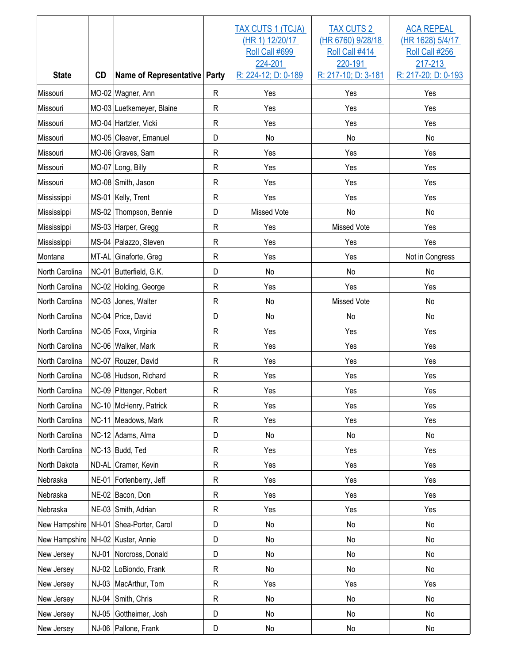| <b>State</b>   | <b>CD</b>    | Name of Representative Party |              | TAX CUTS 1 (TCJA)<br>(HR 1) 12/20/17<br>Roll Call #699<br>224-201<br>R: 224-12; D: 0-189 | <b>TAX CUTS 2</b><br>(HR 6760) 9/28/18<br>Roll Call #414<br>220-191<br>R: 217-10; D: 3-181 | <b>ACA REPEAL</b><br>(HR 1628) 5/4/17<br>Roll Call #256<br>217-213<br>R: 217-20; D: 0-193 |
|----------------|--------------|------------------------------|--------------|------------------------------------------------------------------------------------------|--------------------------------------------------------------------------------------------|-------------------------------------------------------------------------------------------|
| Missouri       |              | MO-02 Wagner, Ann            | $\mathsf{R}$ | Yes                                                                                      | Yes                                                                                        | Yes                                                                                       |
| Missouri       |              | MO-03 Luetkemeyer, Blaine    | $\mathsf{R}$ | Yes                                                                                      | Yes                                                                                        | Yes                                                                                       |
| Missouri       |              | MO-04 Hartzler, Vicki        | $\mathsf{R}$ | Yes                                                                                      | Yes                                                                                        | Yes                                                                                       |
| Missouri       |              | MO-05 Cleaver, Emanuel       | D            | No                                                                                       | No                                                                                         | No                                                                                        |
| Missouri       |              | MO-06 Graves, Sam            | $\mathsf{R}$ | Yes                                                                                      | Yes                                                                                        | Yes                                                                                       |
| Missouri       |              | MO-07 Long, Billy            | $\mathsf{R}$ | Yes                                                                                      | Yes                                                                                        | Yes                                                                                       |
| Missouri       |              | MO-08 Smith, Jason           | R            | Yes                                                                                      | Yes                                                                                        | Yes                                                                                       |
| Mississippi    |              | MS-01 Kelly, Trent           | $\mathsf{R}$ | Yes                                                                                      | Yes                                                                                        | Yes                                                                                       |
| Mississippi    |              | MS-02 Thompson, Bennie       | D            | Missed Vote                                                                              | No                                                                                         | No                                                                                        |
| Mississippi    |              | MS-03 Harper, Gregg          | $\mathsf{R}$ | Yes                                                                                      | Missed Vote                                                                                | Yes                                                                                       |
| Mississippi    |              | MS-04 Palazzo, Steven        | $\mathsf{R}$ | Yes                                                                                      | Yes                                                                                        | Yes                                                                                       |
| Montana        |              | MT-AL Ginaforte, Greg        | $\mathsf{R}$ | Yes                                                                                      | Yes                                                                                        | Not in Congress                                                                           |
| North Carolina |              | NC-01 Butterfield, G.K.      | D            | No                                                                                       | No                                                                                         | No                                                                                        |
| North Carolina |              | NC-02 Holding, George        | $\mathsf{R}$ | Yes                                                                                      | Yes                                                                                        | Yes                                                                                       |
| North Carolina |              | NC-03 Jones, Walter          | $\mathsf{R}$ | No                                                                                       | <b>Missed Vote</b>                                                                         | No                                                                                        |
| North Carolina |              | NC-04 Price, David           | D            | No                                                                                       | No                                                                                         | No                                                                                        |
| North Carolina |              | NC-05 Foxx, Virginia         | $\mathsf{R}$ | Yes                                                                                      | Yes                                                                                        | Yes                                                                                       |
| North Carolina |              | NC-06 Walker, Mark           | $\mathsf{R}$ | Yes                                                                                      | Yes                                                                                        | Yes                                                                                       |
| North Carolina |              | NC-07 Rouzer, David          | $\mathsf{R}$ | Yes                                                                                      | Yes                                                                                        | Yes                                                                                       |
| North Carolina |              | NC-08 Hudson, Richard        | $\mathsf{R}$ | Yes                                                                                      | Yes                                                                                        | Yes                                                                                       |
| North Carolina |              | NC-09 Pittenger, Robert      | $\mathsf R$  | Yes                                                                                      | Yes                                                                                        | Yes                                                                                       |
| North Carolina |              | NC-10 McHenry, Patrick       | R            | Yes                                                                                      | Yes                                                                                        | Yes                                                                                       |
| North Carolina |              | NC-11 Meadows, Mark          | ${\sf R}$    | Yes                                                                                      | Yes                                                                                        | Yes                                                                                       |
| North Carolina |              | NC-12 Adams, Alma            | D            | No                                                                                       | No                                                                                         | No                                                                                        |
| North Carolina |              | NC-13 Budd, Ted              | R            | Yes                                                                                      | Yes                                                                                        | Yes                                                                                       |
| North Dakota   |              | ND-AL Cramer, Kevin          | R            | Yes                                                                                      | Yes                                                                                        | Yes                                                                                       |
| Nebraska       |              | NE-01 Fortenberry, Jeff      | R            | Yes                                                                                      | Yes                                                                                        | Yes                                                                                       |
| Nebraska       |              | NE-02 Bacon, Don             | R            | Yes                                                                                      | Yes                                                                                        | Yes                                                                                       |
| Nebraska       |              | NE-03 Smith, Adrian          | R            | Yes                                                                                      | Yes                                                                                        | Yes                                                                                       |
| New Hampshire  |              | NH-01 Shea-Porter, Carol     | D            | No                                                                                       | No                                                                                         | No                                                                                        |
| New Hampshire  |              | NH-02 Kuster, Annie          | D            | No                                                                                       | No                                                                                         | No                                                                                        |
| New Jersey     |              | NJ-01 Norcross, Donald       | D            | No                                                                                       | No                                                                                         | No                                                                                        |
| New Jersey     |              | NJ-02 LoBiondo, Frank        | $\mathsf{R}$ | No                                                                                       | No                                                                                         | No                                                                                        |
| New Jersey     | NJ-03        | MacArthur, Tom               | $\mathsf{R}$ | Yes                                                                                      | Yes                                                                                        | Yes                                                                                       |
| New Jersey     | <b>NJ-04</b> | Smith, Chris                 | R            | No                                                                                       | No                                                                                         | No                                                                                        |
| New Jersey     | <b>NJ-05</b> | Gottheimer, Josh             | D            | No                                                                                       | No                                                                                         | No                                                                                        |
| New Jersey     |              | NJ-06 Pallone, Frank         | D            | No                                                                                       | No                                                                                         | $\operatorname{\mathsf{No}}$                                                              |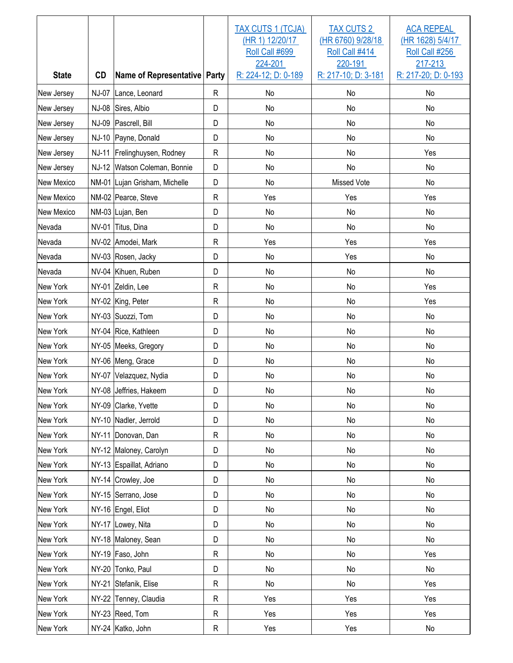| <b>State</b>      | CD    | Name of Representative Party  |              | TAX CUTS 1 (TCJA)<br>(HR 1) 12/20/17<br>Roll Call #699<br>224-201<br>R: 224-12; D: 0-189 | <b>TAX CUTS 2</b><br>(HR 6760) 9/28/18<br>Roll Call #414<br>220-191<br>R: 217-10; D: 3-181 | <b>ACA REPEAL</b><br>(HR 1628) 5/4/17<br>Roll Call #256<br>217-213<br>R: 217-20; D: 0-193 |
|-------------------|-------|-------------------------------|--------------|------------------------------------------------------------------------------------------|--------------------------------------------------------------------------------------------|-------------------------------------------------------------------------------------------|
| New Jersey        |       | NJ-07 Lance, Leonard          | R            | No                                                                                       | No                                                                                         | No                                                                                        |
| New Jersey        | NJ-08 | Sires, Albio                  | D            | No                                                                                       | No                                                                                         | No                                                                                        |
| New Jersey        |       | NJ-09 Pascrell, Bill          | D            | No                                                                                       | No                                                                                         | No                                                                                        |
| New Jersey        |       | NJ-10 Payne, Donald           | D            | No                                                                                       | No                                                                                         | No                                                                                        |
| New Jersey        |       | NJ-11 Frelinghuysen, Rodney   | ${\sf R}$    | No                                                                                       | No                                                                                         | Yes                                                                                       |
| New Jersey        |       | NJ-12 Watson Coleman, Bonnie  | D            | No                                                                                       | No                                                                                         | No                                                                                        |
| <b>New Mexico</b> |       | NM-01 Lujan Grisham, Michelle | D            | No                                                                                       | <b>Missed Vote</b>                                                                         | No                                                                                        |
| <b>New Mexico</b> |       | NM-02 Pearce, Steve           | $\mathsf{R}$ | Yes                                                                                      | Yes                                                                                        | Yes                                                                                       |
| New Mexico        |       | NM-03 Lujan, Ben              | D            | No                                                                                       | No                                                                                         | No                                                                                        |
| Nevada            |       | NV-01 Titus, Dina             | D            | No                                                                                       | No                                                                                         | No                                                                                        |
| Nevada            |       | NV-02 Amodei, Mark            | $\mathsf{R}$ | Yes                                                                                      | Yes                                                                                        | Yes                                                                                       |
| Nevada            |       | NV-03 Rosen, Jacky            | D            | No                                                                                       | Yes                                                                                        | No                                                                                        |
| Nevada            |       | NV-04 Kihuen, Ruben           | D            | No                                                                                       | No                                                                                         | No                                                                                        |
| New York          |       | NY-01 Zeldin, Lee             | $\mathsf{R}$ | No                                                                                       | No                                                                                         | Yes                                                                                       |
| <b>New York</b>   |       | NY-02 King, Peter             | $\mathsf{R}$ | No                                                                                       | No                                                                                         | Yes                                                                                       |
| New York          |       | NY-03 Suozzi, Tom             | D            | No                                                                                       | No                                                                                         | No                                                                                        |
| New York          |       | NY-04 Rice, Kathleen          | D            | No                                                                                       | No                                                                                         | No                                                                                        |
| New York          |       | NY-05 Meeks, Gregory          | D            | No                                                                                       | No                                                                                         | No                                                                                        |
| New York          |       | NY-06 Meng, Grace             | D            | No                                                                                       | No                                                                                         | No                                                                                        |
| New York          |       | NY-07 Velazquez, Nydia        | D            | <b>No</b>                                                                                | No                                                                                         | No                                                                                        |
| New York          |       | NY-08 Jeffries, Hakeem        | D            | No                                                                                       | No                                                                                         | No                                                                                        |
| New York          |       | NY-09 Clarke, Yvette          | D            | No                                                                                       | No                                                                                         | No                                                                                        |
| New York          |       | NY-10 Nadler, Jerrold         | D            | No                                                                                       | No                                                                                         | $\mathsf{No}$                                                                             |
| New York          |       | NY-11 Donovan, Dan            | R            | No                                                                                       | No                                                                                         | No                                                                                        |
| New York          |       | NY-12 Maloney, Carolyn        | D            | No                                                                                       | No                                                                                         | No                                                                                        |
| New York          |       | NY-13 Espaillat, Adriano      | D            | No                                                                                       | No                                                                                         | No                                                                                        |
| New York          |       | NY-14 Crowley, Joe            | D            | No                                                                                       | No                                                                                         | No                                                                                        |
| New York          |       | NY-15 Serrano, Jose           | D            | No                                                                                       | No                                                                                         | No                                                                                        |
| New York          |       | NY-16 Engel, Eliot            | D            | No                                                                                       | No                                                                                         | No                                                                                        |
| New York          |       | NY-17 Lowey, Nita             | D            | No                                                                                       | No                                                                                         | No                                                                                        |
| New York          |       | NY-18 Maloney, Sean           | D            | No                                                                                       | No                                                                                         | No                                                                                        |
| New York          |       | NY-19 Faso, John              | R            | No                                                                                       | No                                                                                         | Yes                                                                                       |
| New York          |       | NY-20 Tonko, Paul             | D            | No                                                                                       | No                                                                                         | No                                                                                        |
| New York          |       | NY-21 Stefanik, Elise         | $\mathsf{R}$ | No                                                                                       | No                                                                                         | Yes                                                                                       |
| New York          |       | NY-22 Tenney, Claudia         | $\mathsf{R}$ | Yes                                                                                      | Yes                                                                                        | Yes                                                                                       |
| New York          |       | NY-23 Reed, Tom               | R            | Yes                                                                                      | Yes                                                                                        | Yes                                                                                       |
| New York          |       | NY-24 Katko, John             | R            | Yes                                                                                      | Yes                                                                                        | $\operatorname{\mathsf{No}}$                                                              |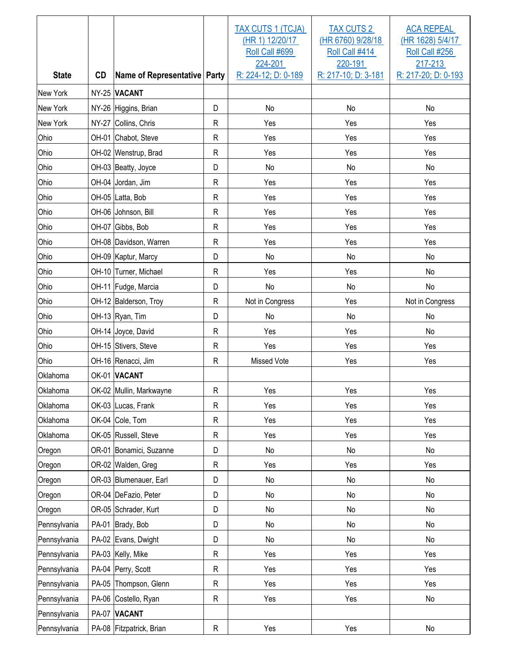| <b>State</b>    | <b>CD</b> | Name of Representative Party |              | TAX CUTS 1 (TCJA)<br>(HR 1) 12/20/17<br>Roll Call #699<br>224-201<br>R: 224-12; D: 0-189 | <b>TAX CUTS 2</b><br>(HR 6760) 9/28/18<br>Roll Call #414<br>220-191<br>R: 217-10; D: 3-181 | <b>ACA REPEAL</b><br>(HR 1628) 5/4/17<br>Roll Call #256<br>217-213<br>R: 217-20; D: 0-193 |
|-----------------|-----------|------------------------------|--------------|------------------------------------------------------------------------------------------|--------------------------------------------------------------------------------------------|-------------------------------------------------------------------------------------------|
| New York        |           | NY-25 VACANT                 |              |                                                                                          |                                                                                            |                                                                                           |
| New York        |           | NY-26 Higgins, Brian         | D            | No                                                                                       | No                                                                                         | No                                                                                        |
| <b>New York</b> |           | NY-27 Collins, Chris         | $\mathsf{R}$ | Yes                                                                                      | Yes                                                                                        | Yes                                                                                       |
| Ohio            |           | OH-01 Chabot, Steve          | $\mathsf{R}$ | Yes                                                                                      | Yes                                                                                        | Yes                                                                                       |
| Ohio            |           | OH-02 Wenstrup, Brad         | $\mathsf{R}$ | Yes                                                                                      | Yes                                                                                        | Yes                                                                                       |
| Ohio            |           | OH-03 Beatty, Joyce          | D            | No                                                                                       | No                                                                                         | No                                                                                        |
| Ohio            |           | OH-04 Jordan, Jim            | $\mathsf{R}$ | Yes                                                                                      | Yes                                                                                        | Yes                                                                                       |
| Ohio            |           | OH-05 Latta, Bob             | $\mathsf{R}$ | Yes                                                                                      | Yes                                                                                        | Yes                                                                                       |
| Ohio            |           | OH-06 Johnson, Bill          | $\mathsf{R}$ | Yes                                                                                      | Yes                                                                                        | Yes                                                                                       |
| Ohio            |           | OH-07 Gibbs, Bob             | $\mathsf{R}$ | Yes                                                                                      | Yes                                                                                        | Yes                                                                                       |
| Ohio            |           | OH-08 Davidson, Warren       | $\mathsf{R}$ | Yes                                                                                      | Yes                                                                                        | Yes                                                                                       |
| Ohio            |           | OH-09 Kaptur, Marcy          | D            | No                                                                                       | No                                                                                         | No                                                                                        |
| Ohio            |           | OH-10 Turner, Michael        | $\mathsf{R}$ | Yes                                                                                      | Yes                                                                                        | No                                                                                        |
| Ohio            |           | OH-11 Fudge, Marcia          | D            | No                                                                                       | No                                                                                         | No                                                                                        |
| Ohio            |           | OH-12 Balderson, Troy        | $\mathsf{R}$ | Not in Congress                                                                          | Yes                                                                                        | Not in Congress                                                                           |
| Ohio            |           | OH-13 Ryan, Tim              | D            | No                                                                                       | No                                                                                         | No                                                                                        |
| Ohio            |           | OH-14 Joyce, David           | $\mathsf{R}$ | Yes                                                                                      | Yes                                                                                        | No                                                                                        |
| Ohio            |           | OH-15 Stivers, Steve         | ${\sf R}$    | Yes                                                                                      | Yes                                                                                        | Yes                                                                                       |
| Ohio            |           | OH-16 Renacci, Jim           | $\mathsf{R}$ | <b>Missed Vote</b>                                                                       | Yes                                                                                        | Yes                                                                                       |
| Oklahoma        |           | OK-01 VACANT                 |              |                                                                                          |                                                                                            |                                                                                           |
| Oklahoma        |           | OK-02 Mullin, Markwayne      | R            | Yes                                                                                      | Yes                                                                                        | Yes                                                                                       |
| Oklahoma        |           | OK-03 Lucas, Frank           | $\mathsf{R}$ | Yes                                                                                      | Yes                                                                                        | Yes                                                                                       |
| Oklahoma        |           | OK-04 Cole, Tom              | $\mathsf{R}$ | Yes                                                                                      | Yes                                                                                        | Yes                                                                                       |
| Oklahoma        |           | OK-05 Russell, Steve         | ${\sf R}$    | Yes                                                                                      | Yes                                                                                        | Yes                                                                                       |
| Oregon          |           | OR-01 Bonamici, Suzanne      | D            | No                                                                                       | No                                                                                         | No                                                                                        |
| Oregon          |           | OR-02 Walden, Greg           | ${\sf R}$    | Yes                                                                                      | Yes                                                                                        | Yes                                                                                       |
| Oregon          |           | OR-03 Blumenauer, Earl       | D            | No                                                                                       | No                                                                                         | No                                                                                        |
| Oregon          |           | OR-04 DeFazio, Peter         | D            | No                                                                                       | No                                                                                         | No                                                                                        |
| Oregon          |           | OR-05 Schrader, Kurt         | D            | No                                                                                       | No                                                                                         | No                                                                                        |
| Pennsylvania    |           | PA-01 Brady, Bob             | D            | No                                                                                       | No                                                                                         | No                                                                                        |
| Pennsylvania    |           | PA-02 Evans, Dwight          | D            | No                                                                                       | No                                                                                         | No                                                                                        |
| Pennsylvania    |           | PA-03 Kelly, Mike            | $\mathsf R$  | Yes                                                                                      | Yes                                                                                        | Yes                                                                                       |
| Pennsylvania    |           | PA-04 Perry, Scott           | $\mathsf R$  | Yes                                                                                      | Yes                                                                                        | Yes                                                                                       |
| Pennsylvania    | PA-05     | Thompson, Glenn              | ${\sf R}$    | Yes                                                                                      | Yes                                                                                        | Yes                                                                                       |
| Pennsylvania    |           | PA-06 Costello, Ryan         | ${\sf R}$    | Yes                                                                                      | Yes                                                                                        | No                                                                                        |
| Pennsylvania    |           | PA-07 VACANT                 |              |                                                                                          |                                                                                            |                                                                                           |
| Pennsylvania    |           | PA-08 Fitzpatrick, Brian     | ${\sf R}$    | Yes                                                                                      | Yes                                                                                        | No                                                                                        |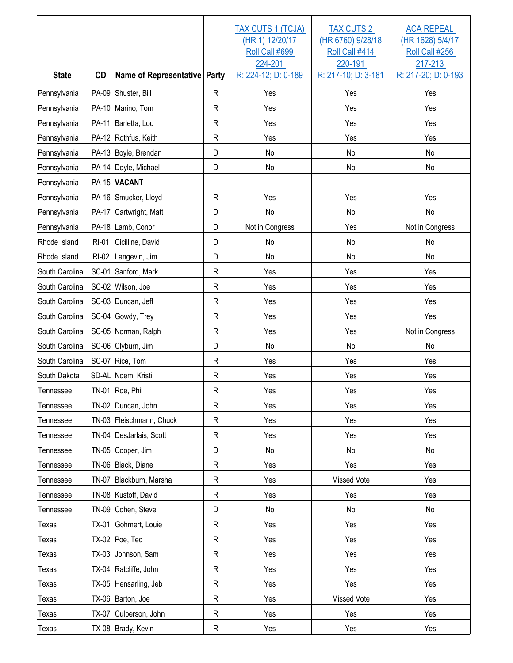|                |              |                              |              | TAX CUTS 1 (TCJA)<br>(HR 1) 12/20/17<br>Roll Call #699<br>224-201 | <b>TAX CUTS 2</b><br>(HR 6760) 9/28/18<br>Roll Call #414<br>220-191 | <b>ACA REPEAL</b><br>(HR 1628) 5/4/17<br>Roll Call #256<br>217-213 |
|----------------|--------------|------------------------------|--------------|-------------------------------------------------------------------|---------------------------------------------------------------------|--------------------------------------------------------------------|
| <b>State</b>   | <b>CD</b>    | Name of Representative Party |              | R: 224-12; D: 0-189                                               | R: 217-10; D: 3-181                                                 | R: 217-20; D: 0-193                                                |
| Pennsylvania   |              | PA-09 Shuster, Bill          | $\mathsf R$  | Yes                                                               | Yes                                                                 | Yes                                                                |
| Pennsylvania   |              | PA-10 Marino, Tom            | ${\sf R}$    | Yes                                                               | Yes                                                                 | Yes                                                                |
| Pennsylvania   | PA-11        | Barletta, Lou                | $\mathsf R$  | Yes                                                               | Yes                                                                 | Yes                                                                |
| Pennsylvania   |              | PA-12 Rothfus, Keith         | $\mathsf{R}$ | Yes                                                               | Yes                                                                 | Yes                                                                |
| Pennsylvania   |              | PA-13 Boyle, Brendan         | D            | No                                                                | No                                                                  | No                                                                 |
| Pennsylvania   |              | PA-14 Doyle, Michael         | D            | No                                                                | No                                                                  | No                                                                 |
| Pennsylvania   |              | PA-15 VACANT                 |              |                                                                   |                                                                     |                                                                    |
| Pennsylvania   |              | PA-16 Smucker, Lloyd         | $\mathsf{R}$ | Yes                                                               | Yes                                                                 | Yes                                                                |
| Pennsylvania   | <b>PA-17</b> | Cartwright, Matt             | D            | No                                                                | No                                                                  | No                                                                 |
| Pennsylvania   |              | PA-18 Lamb, Conor            | D            | Not in Congress                                                   | Yes                                                                 | Not in Congress                                                    |
| Rhode Island   | <b>RI-01</b> | Cicilline, David             | D            | No                                                                | No                                                                  | No                                                                 |
| Rhode Island   | $RI-02$      | Langevin, Jim                | D            | No                                                                | No                                                                  | No                                                                 |
| South Carolina | SC-01        | Sanford, Mark                | $\mathsf{R}$ | Yes                                                               | Yes                                                                 | Yes                                                                |
| South Carolina |              | SC-02 Wilson, Joe            | $\mathsf{R}$ | Yes                                                               | Yes                                                                 | Yes                                                                |
| South Carolina |              | SC-03 Duncan, Jeff           | $\mathsf{R}$ | Yes                                                               | Yes                                                                 | Yes                                                                |
| South Carolina |              | SC-04 Gowdy, Trey            | $\mathsf{R}$ | Yes                                                               | Yes                                                                 | Yes                                                                |
| South Carolina |              | SC-05 Norman, Ralph          | $\mathsf{R}$ | Yes                                                               | Yes                                                                 | Not in Congress                                                    |
| South Carolina |              | SC-06 Clyburn, Jim           | D            | No                                                                | No                                                                  | No                                                                 |
| South Carolina |              | SC-07 Rice, Tom              | ${\sf R}$    | Yes                                                               | Yes                                                                 | Yes                                                                |
| South Dakota   |              | SD-AL Noem, Kristi           | R            | Yes                                                               | Yes                                                                 | Yes                                                                |
| Tennessee      |              | TN-01 Roe, Phil              | ${\sf R}$    | Yes                                                               | Yes                                                                 | Yes                                                                |
| Tennessee      |              | TN-02 Duncan, John           | $\mathsf{R}$ | Yes                                                               | Yes                                                                 | Yes                                                                |
| Tennessee      |              | TN-03 Fleischmann, Chuck     | $\mathsf R$  | Yes                                                               | Yes                                                                 | Yes                                                                |
| Tennessee      |              | TN-04 DesJarlais, Scott      | R            | Yes                                                               | Yes                                                                 | Yes                                                                |
| Tennessee      |              | TN-05 Cooper, Jim            | D            | No                                                                | No                                                                  | No                                                                 |
| Tennessee      |              | TN-06 Black, Diane           | $\mathsf R$  | Yes                                                               | Yes                                                                 | Yes                                                                |
| Tennessee      |              | TN-07 Blackburn, Marsha      | $\mathsf R$  | Yes                                                               | Missed Vote                                                         | Yes                                                                |
| Tennessee      |              | TN-08 Kustoff, David         | R            | Yes                                                               | Yes                                                                 | Yes                                                                |
| Tennessee      |              | TN-09 Cohen, Steve           | D            | No                                                                | No                                                                  | No                                                                 |
| Texas          | TX-01        | Gohmert, Louie               | $\mathsf R$  | Yes                                                               | Yes                                                                 | Yes                                                                |
| Texas          |              | TX-02 Poe, Ted               | $\mathsf R$  | Yes                                                               | Yes                                                                 | Yes                                                                |
| Texas          | $TX-03$      | Johnson, Sam                 | $\mathsf R$  | Yes                                                               | Yes                                                                 | Yes                                                                |
| Texas          |              | TX-04 Ratcliffe, John        | $\mathsf R$  | Yes                                                               | Yes                                                                 | Yes                                                                |
| Texas          |              | TX-05 Hensarling, Jeb        | $\mathsf R$  | Yes                                                               | Yes                                                                 | Yes                                                                |
| Texas          |              | TX-06 Barton, Joe            | $\mathsf R$  | Yes                                                               | Missed Vote                                                         | Yes                                                                |
| <b>Texas</b>   | <b>TX-07</b> | Culberson, John              | $\mathsf R$  | Yes                                                               | Yes                                                                 | Yes                                                                |
| <b>Texas</b>   |              | TX-08 Brady, Kevin           | R            | Yes                                                               | Yes                                                                 | Yes                                                                |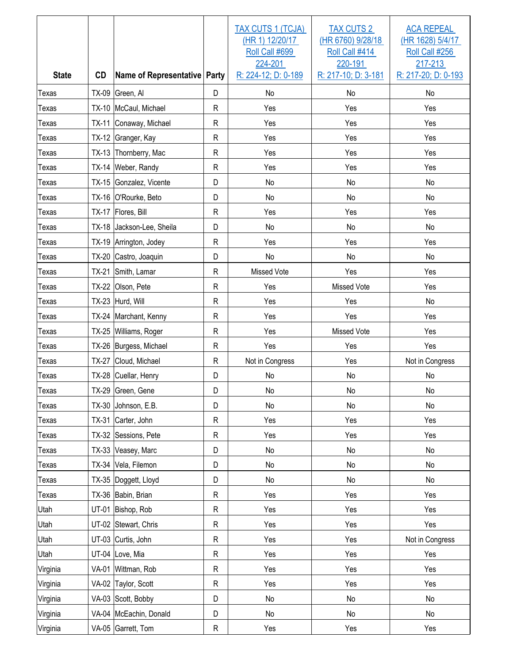| <b>State</b> | <b>CD</b>    | Name of Representative Party |              | TAX CUTS 1 (TCJA)<br>(HR 1) 12/20/17<br>Roll Call #699<br>224-201<br>R: 224-12; D: 0-189 | <b>TAX CUTS 2</b><br>(HR 6760) 9/28/18<br>Roll Call #414<br>220-191<br>R: 217-10; D: 3-181 | <b>ACA REPEAL</b><br>(HR 1628) 5/4/17<br>Roll Call #256<br>217-213<br>R: 217-20; D: 0-193 |
|--------------|--------------|------------------------------|--------------|------------------------------------------------------------------------------------------|--------------------------------------------------------------------------------------------|-------------------------------------------------------------------------------------------|
| <b>Texas</b> |              | TX-09 Green, Al              | D            | No                                                                                       | No                                                                                         | No                                                                                        |
| Texas        |              | TX-10   McCaul, Michael      | $\mathsf{R}$ | Yes                                                                                      | Yes                                                                                        | Yes                                                                                       |
| Texas        |              | TX-11 Conaway, Michael       | $\mathsf{R}$ | Yes                                                                                      | Yes                                                                                        | Yes                                                                                       |
| Texas        |              | TX-12 Granger, Kay           | $\mathsf{R}$ | Yes                                                                                      | Yes                                                                                        | Yes                                                                                       |
| Texas        |              | TX-13 Thornberry, Mac        | $\mathsf{R}$ | Yes                                                                                      | Yes                                                                                        | Yes                                                                                       |
| <b>Texas</b> |              | TX-14 Weber, Randy           | $\mathsf{R}$ | Yes                                                                                      | Yes                                                                                        | Yes                                                                                       |
| <b>Texas</b> |              | TX-15 Gonzalez, Vicente      | D            | No                                                                                       | No                                                                                         | No                                                                                        |
| <b>Texas</b> |              | TX-16 O'Rourke, Beto         | D            | No                                                                                       | No                                                                                         | No                                                                                        |
| <b>Texas</b> |              | TX-17   Flores, Bill         | $\mathsf{R}$ | Yes                                                                                      | Yes                                                                                        | Yes                                                                                       |
| Texas        |              | TX-18 Jackson-Lee, Sheila    | D            | <b>No</b>                                                                                | No                                                                                         | No                                                                                        |
| <b>Texas</b> |              | TX-19 Arrington, Jodey       | $\mathsf{R}$ | Yes                                                                                      | Yes                                                                                        | Yes                                                                                       |
| Texas        |              | TX-20 Castro, Joaquin        | D            | No                                                                                       | No                                                                                         | No                                                                                        |
| <b>Texas</b> | $TX-21$      | Smith, Lamar                 | $\mathsf{R}$ | <b>Missed Vote</b>                                                                       | Yes                                                                                        | Yes                                                                                       |
| Texas        |              | TX-22 Olson, Pete            | $\mathsf{R}$ | Yes                                                                                      | Missed Vote                                                                                | Yes                                                                                       |
| Texas        |              | TX-23 Hurd, Will             | $\mathsf{R}$ | Yes                                                                                      | Yes                                                                                        | No                                                                                        |
| Texas        |              | TX-24 Marchant, Kenny        | $\mathsf{R}$ | Yes                                                                                      | Yes                                                                                        | Yes                                                                                       |
| <b>Texas</b> |              | TX-25 Williams, Roger        | $\mathsf{R}$ | Yes                                                                                      | Missed Vote                                                                                | Yes                                                                                       |
| <b>Texas</b> |              | TX-26 Burgess, Michael       | $\mathsf{R}$ | Yes                                                                                      | Yes                                                                                        | Yes                                                                                       |
| <b>Texas</b> | <b>TX-27</b> | Cloud, Michael               | $\mathsf{R}$ | Not in Congress                                                                          | Yes                                                                                        | Not in Congress                                                                           |
| <b>Texas</b> |              | TX-28 Cuellar, Henry         | D            | No                                                                                       | No                                                                                         | No                                                                                        |
| Texas        |              | TX-29 Green, Gene            | D            | $\rm No$                                                                                 | $\rm No$                                                                                   | No                                                                                        |
| Texas        |              | TX-30 Johnson, E.B.          | D            | No                                                                                       | No                                                                                         | No                                                                                        |
| Texas        |              | TX-31 Carter, John           | R            | Yes                                                                                      | Yes                                                                                        | Yes                                                                                       |
| Texas        |              | TX-32 Sessions, Pete         | R            | Yes                                                                                      | Yes                                                                                        | Yes                                                                                       |
| Texas        |              | TX-33 Veasey, Marc           | D            | No                                                                                       | No                                                                                         | No                                                                                        |
| Texas        |              | TX-34 Vela, Filemon          | D            | No                                                                                       | No                                                                                         | No                                                                                        |
| Texas        |              | TX-35  Doggett, Lloyd        | D            | No                                                                                       | No                                                                                         | No                                                                                        |
| Texas        |              | TX-36 Babin, Brian           | $\mathsf{R}$ | Yes                                                                                      | Yes                                                                                        | Yes                                                                                       |
| Utah         |              | UT-01 Bishop, Rob            | $\mathsf{R}$ | Yes                                                                                      | Yes                                                                                        | Yes                                                                                       |
| Utah         |              | UT-02 Stewart, Chris         | $\mathsf{R}$ | Yes                                                                                      | Yes                                                                                        | Yes                                                                                       |
| Utah         |              | UT-03 Curtis, John           | $\mathsf{R}$ | Yes                                                                                      | Yes                                                                                        | Not in Congress                                                                           |
| Utah         |              | UT-04 Love, Mia              | $\mathsf{R}$ | Yes                                                                                      | Yes                                                                                        | Yes                                                                                       |
| Virginia     |              | VA-01 Wittman, Rob           | $\mathsf{R}$ | Yes                                                                                      | Yes                                                                                        | Yes                                                                                       |
| Virginia     |              | VA-02 Taylor, Scott          | $\mathsf{R}$ | Yes                                                                                      | Yes                                                                                        | Yes                                                                                       |
| Virginia     |              | VA-03 Scott, Bobby           | D            | No                                                                                       | No                                                                                         | No                                                                                        |
| Virginia     |              | VA-04   McEachin, Donald     | D            | No                                                                                       | No                                                                                         | No                                                                                        |
| Virginia     |              | VA-05 Garrett, Tom           | R            | Yes                                                                                      | Yes                                                                                        | Yes                                                                                       |